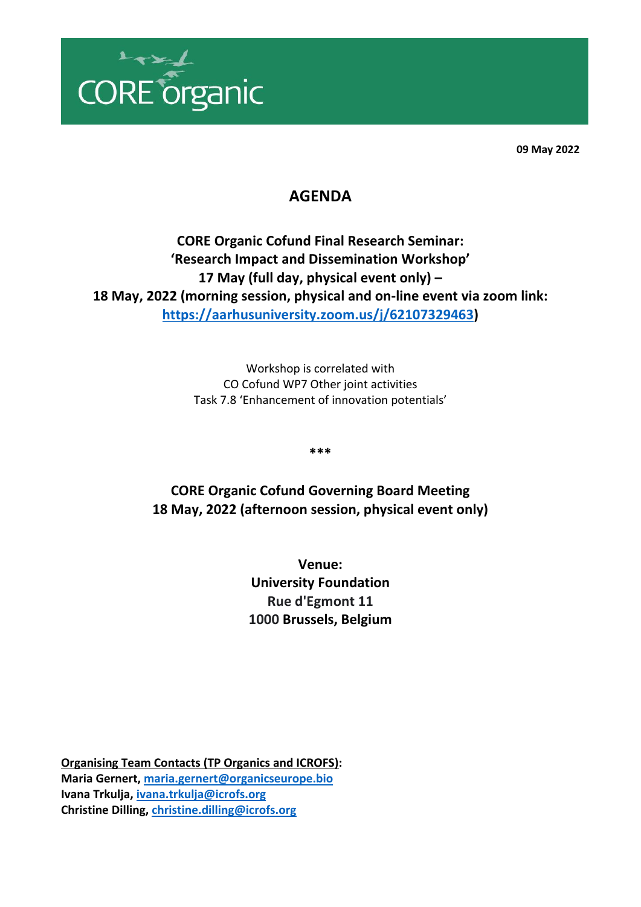

**09 May 2022**

## **AGENDA**

**CORE Organic Cofund Final Research Seminar: 'Research Impact and Dissemination Workshop' 17 May (full day, physical event only) – 18 May, 2022 (morning session, physical and on-line event via zoom link: [https://aarhusuniversity.zoom.us/j/62107329463\)](https://aarhusuniversity.zoom.us/j/62107329463)**

> Workshop is correlated with CO Cofund WP7 Other joint activities Task 7.8 'Enhancement of innovation potentials'

> > **\*\*\***

**CORE Organic Cofund Governing Board Meeting 18 May, 2022 (afternoon session, physical event only)**

> **Venue: University Foundation Rue d'Egmont 11 1000 Brussels, Belgium**

**Organising Team Contacts (TP Organics and ICROFS): Maria Gernert, [maria.gernert@organicseurope.bio](mailto:maria.gernert@organicseurope.bio) Ivana Trkulja[, ivana.trkulja@icrofs.org](mailto:ivana.trkulja@icrofs.org) Christine Dilling, [christine.dilling@icrofs.org](mailto:christine.dilling@icrofs.org)**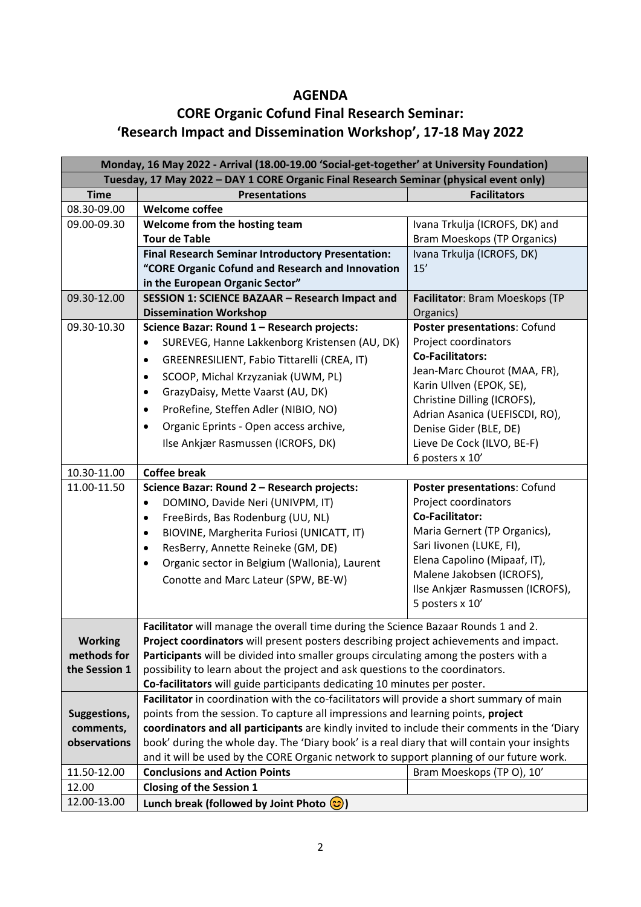## **AGENDA**

## **CORE Organic Cofund Final Research Seminar: 'Research Impact and Dissemination Workshop', 17-18 May 2022**

| Monday, 16 May 2022 - Arrival (18.00-19.00 'Social-get-together' at University Foundation) |                                                                                              |                                                              |  |  |
|--------------------------------------------------------------------------------------------|----------------------------------------------------------------------------------------------|--------------------------------------------------------------|--|--|
| Tuesday, 17 May 2022 - DAY 1 CORE Organic Final Research Seminar (physical event only)     |                                                                                              |                                                              |  |  |
| <b>Time</b>                                                                                | <b>Presentations</b>                                                                         | <b>Facilitators</b>                                          |  |  |
| 08.30-09.00                                                                                | <b>Welcome coffee</b>                                                                        |                                                              |  |  |
| 09.00-09.30                                                                                | Welcome from the hosting team                                                                | Ivana Trkulja (ICROFS, DK) and                               |  |  |
|                                                                                            | <b>Tour de Table</b>                                                                         | <b>Bram Moeskops (TP Organics)</b>                           |  |  |
|                                                                                            | <b>Final Research Seminar Introductory Presentation:</b>                                     | Ivana Trkulja (ICROFS, DK)                                   |  |  |
|                                                                                            | "CORE Organic Cofund and Research and Innovation                                             | 15'                                                          |  |  |
|                                                                                            | in the European Organic Sector"                                                              |                                                              |  |  |
| 09.30-12.00                                                                                | SESSION 1: SCIENCE BAZAAR - Research Impact and                                              | Facilitator: Bram Moeskops (TP                               |  |  |
|                                                                                            | <b>Dissemination Workshop</b>                                                                | Organics)                                                    |  |  |
| 09.30-10.30                                                                                | Science Bazar: Round 1 - Research projects:                                                  | Poster presentations: Cofund                                 |  |  |
|                                                                                            | SUREVEG, Hanne Lakkenborg Kristensen (AU, DK)<br>$\bullet$                                   | Project coordinators                                         |  |  |
|                                                                                            | GREENRESILIENT, Fabio Tittarelli (CREA, IT)<br>$\bullet$                                     | <b>Co-Facilitators:</b>                                      |  |  |
|                                                                                            | SCOOP, Michal Krzyzaniak (UWM, PL)<br>$\bullet$                                              | Jean-Marc Chourot (MAA, FR),                                 |  |  |
|                                                                                            | GrazyDaisy, Mette Vaarst (AU, DK)<br>٠                                                       | Karin Ullven (EPOK, SE),                                     |  |  |
|                                                                                            | ProRefine, Steffen Adler (NIBIO, NO)<br>٠                                                    | Christine Dilling (ICROFS),                                  |  |  |
|                                                                                            |                                                                                              | Adrian Asanica (UEFISCDI, RO),                               |  |  |
|                                                                                            | Organic Eprints - Open access archive,<br>$\bullet$                                          | Denise Gider (BLE, DE)                                       |  |  |
|                                                                                            | Ilse Ankjær Rasmussen (ICROFS, DK)                                                           | Lieve De Cock (ILVO, BE-F)                                   |  |  |
|                                                                                            |                                                                                              | 6 posters x 10'                                              |  |  |
| 10.30-11.00                                                                                | <b>Coffee break</b>                                                                          |                                                              |  |  |
| 11.00-11.50                                                                                | Science Bazar: Round 2 - Research projects:                                                  | Poster presentations: Cofund                                 |  |  |
|                                                                                            | DOMINO, Davide Neri (UNIVPM, IT)<br>$\bullet$                                                | Project coordinators                                         |  |  |
|                                                                                            | FreeBirds, Bas Rodenburg (UU, NL)<br>$\bullet$                                               | <b>Co-Facilitator:</b>                                       |  |  |
|                                                                                            | BIOVINE, Margherita Furiosi (UNICATT, IT)<br>$\bullet$                                       | Maria Gernert (TP Organics),                                 |  |  |
|                                                                                            | ResBerry, Annette Reineke (GM, DE)<br>٠                                                      | Sari livonen (LUKE, FI),                                     |  |  |
|                                                                                            | Organic sector in Belgium (Wallonia), Laurent<br>$\bullet$                                   | Elena Capolino (Mipaaf, IT),                                 |  |  |
|                                                                                            | Conotte and Marc Lateur (SPW, BE-W)                                                          | Malene Jakobsen (ICROFS),<br>Ilse Ankjær Rasmussen (ICROFS), |  |  |
|                                                                                            |                                                                                              | 5 posters x 10'                                              |  |  |
|                                                                                            |                                                                                              |                                                              |  |  |
|                                                                                            | Facilitator will manage the overall time during the Science Bazaar Rounds 1 and 2.           |                                                              |  |  |
| <b>Working</b>                                                                             | Project coordinators will present posters describing project achievements and impact.        |                                                              |  |  |
| methods for                                                                                | Participants will be divided into smaller groups circulating among the posters with a        |                                                              |  |  |
| the Session 1                                                                              | possibility to learn about the project and ask questions to the coordinators.                |                                                              |  |  |
|                                                                                            | Co-facilitators will guide participants dedicating 10 minutes per poster.                    |                                                              |  |  |
|                                                                                            | Facilitator in coordination with the co-facilitators will provide a short summary of main    |                                                              |  |  |
| Suggestions,                                                                               | points from the session. To capture all impressions and learning points, project             |                                                              |  |  |
| comments,                                                                                  | coordinators and all participants are kindly invited to include their comments in the 'Diary |                                                              |  |  |
| observations                                                                               | book' during the whole day. The 'Diary book' is a real diary that will contain your insights |                                                              |  |  |
|                                                                                            | and it will be used by the CORE Organic network to support planning of our future work.      |                                                              |  |  |
| 11.50-12.00                                                                                | <b>Conclusions and Action Points</b>                                                         | Bram Moeskops (TP O), 10'                                    |  |  |
| 12.00                                                                                      | <b>Closing of the Session 1</b>                                                              |                                                              |  |  |
| 12.00-13.00                                                                                | Lunch break (followed by Joint Photo $\circled{c}$ )                                         |                                                              |  |  |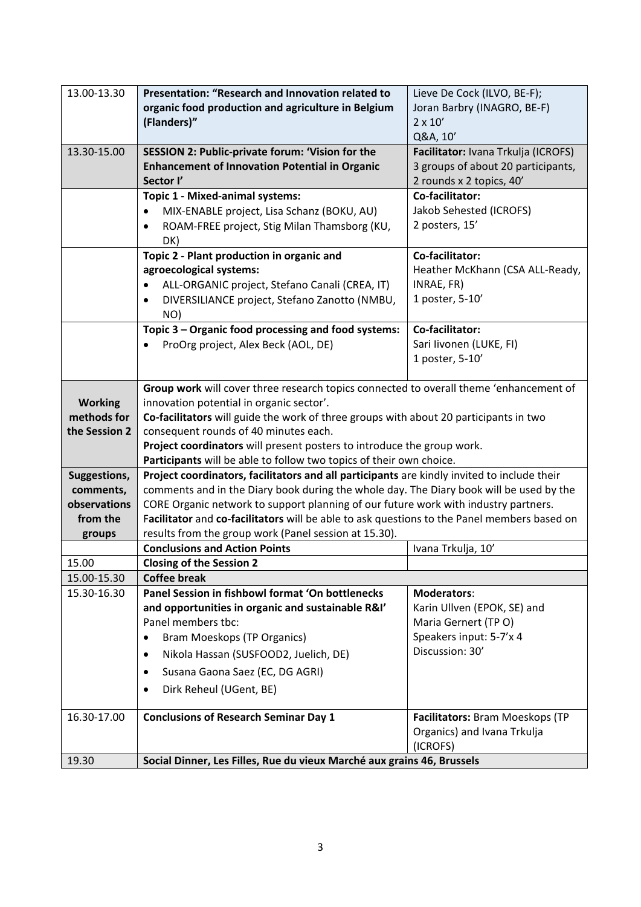| 13.00-13.30                   | Presentation: "Research and Innovation related to                                                               | Lieve De Cock (ILVO, BE-F);         |  |
|-------------------------------|-----------------------------------------------------------------------------------------------------------------|-------------------------------------|--|
|                               | organic food production and agriculture in Belgium                                                              | Joran Barbry (INAGRO, BE-F)         |  |
|                               | (Flanders)"                                                                                                     | $2 \times 10'$                      |  |
|                               |                                                                                                                 | Q&A, 10'                            |  |
| 13.30-15.00                   | SESSION 2: Public-private forum: 'Vision for the                                                                | Facilitator: Ivana Trkulja (ICROFS) |  |
|                               | <b>Enhancement of Innovation Potential in Organic</b>                                                           | 3 groups of about 20 participants,  |  |
|                               | Sector I'                                                                                                       | 2 rounds x 2 topics, 40'            |  |
|                               | Topic 1 - Mixed-animal systems:                                                                                 | Co-facilitator:                     |  |
|                               | MIX-ENABLE project, Lisa Schanz (BOKU, AU)<br>$\bullet$                                                         | Jakob Sehested (ICROFS)             |  |
|                               | ROAM-FREE project, Stig Milan Thamsborg (KU,<br>$\bullet$                                                       | 2 posters, 15'                      |  |
|                               | DK)                                                                                                             |                                     |  |
|                               | Topic 2 - Plant production in organic and                                                                       | Co-facilitator:                     |  |
|                               | agroecological systems:                                                                                         | Heather McKhann (CSA ALL-Ready,     |  |
|                               | ALL-ORGANIC project, Stefano Canali (CREA, IT)                                                                  | INRAE, FR)                          |  |
|                               | DIVERSILIANCE project, Stefano Zanotto (NMBU,<br>$\bullet$                                                      | 1 poster, 5-10'                     |  |
|                               | NO)                                                                                                             |                                     |  |
|                               | Topic 3 - Organic food processing and food systems:                                                             | Co-facilitator:                     |  |
|                               | ProOrg project, Alex Beck (AOL, DE)                                                                             | Sari livonen (LUKE, FI)             |  |
|                               |                                                                                                                 | 1 poster, 5-10'                     |  |
|                               |                                                                                                                 |                                     |  |
|                               | Group work will cover three research topics connected to overall theme 'enhancement of                          |                                     |  |
| <b>Working</b><br>methods for | innovation potential in organic sector'.                                                                        |                                     |  |
| the Session 2                 | Co-facilitators will guide the work of three groups with about 20 participants in two                           |                                     |  |
|                               | consequent rounds of 40 minutes each.<br>Project coordinators will present posters to introduce the group work. |                                     |  |
|                               | Participants will be able to follow two topics of their own choice.                                             |                                     |  |
| Suggestions,                  | Project coordinators, facilitators and all participants are kindly invited to include their                     |                                     |  |
| comments,                     | comments and in the Diary book during the whole day. The Diary book will be used by the                         |                                     |  |
| observations                  | CORE Organic network to support planning of our future work with industry partners.                             |                                     |  |
| from the                      | Facilitator and co-facilitators will be able to ask questions to the Panel members based on                     |                                     |  |
| groups                        | results from the group work (Panel session at 15.30).                                                           |                                     |  |
|                               | <b>Conclusions and Action Points</b>                                                                            | Ivana Trkulja, 10'                  |  |
| 15.00                         | <b>Closing of the Session 2</b>                                                                                 |                                     |  |
| 15.00-15.30                   | <b>Coffee break</b>                                                                                             |                                     |  |
| 15.30-16.30                   | Panel Session in fishbowl format 'On bottlenecks                                                                | <b>Moderators:</b>                  |  |
|                               | and opportunities in organic and sustainable R&I'                                                               | Karin Ullven (EPOK, SE) and         |  |
|                               | Panel members tbc:                                                                                              | Maria Gernert (TPO)                 |  |
|                               | <b>Bram Moeskops (TP Organics)</b><br>$\bullet$                                                                 | Speakers input: 5-7'x 4             |  |
|                               | Nikola Hassan (SUSFOOD2, Juelich, DE)<br>٠                                                                      | Discussion: 30'                     |  |
|                               | Susana Gaona Saez (EC, DG AGRI)<br>٠                                                                            |                                     |  |
|                               | Dirk Reheul (UGent, BE)<br>٠                                                                                    |                                     |  |
|                               |                                                                                                                 |                                     |  |
| 16.30-17.00                   | <b>Conclusions of Research Seminar Day 1</b>                                                                    | Facilitators: Bram Moeskops (TP     |  |
|                               |                                                                                                                 | Organics) and Ivana Trkulja         |  |
|                               |                                                                                                                 | (ICROFS)                            |  |
| 19.30                         | Social Dinner, Les Filles, Rue du vieux Marché aux grains 46, Brussels                                          |                                     |  |